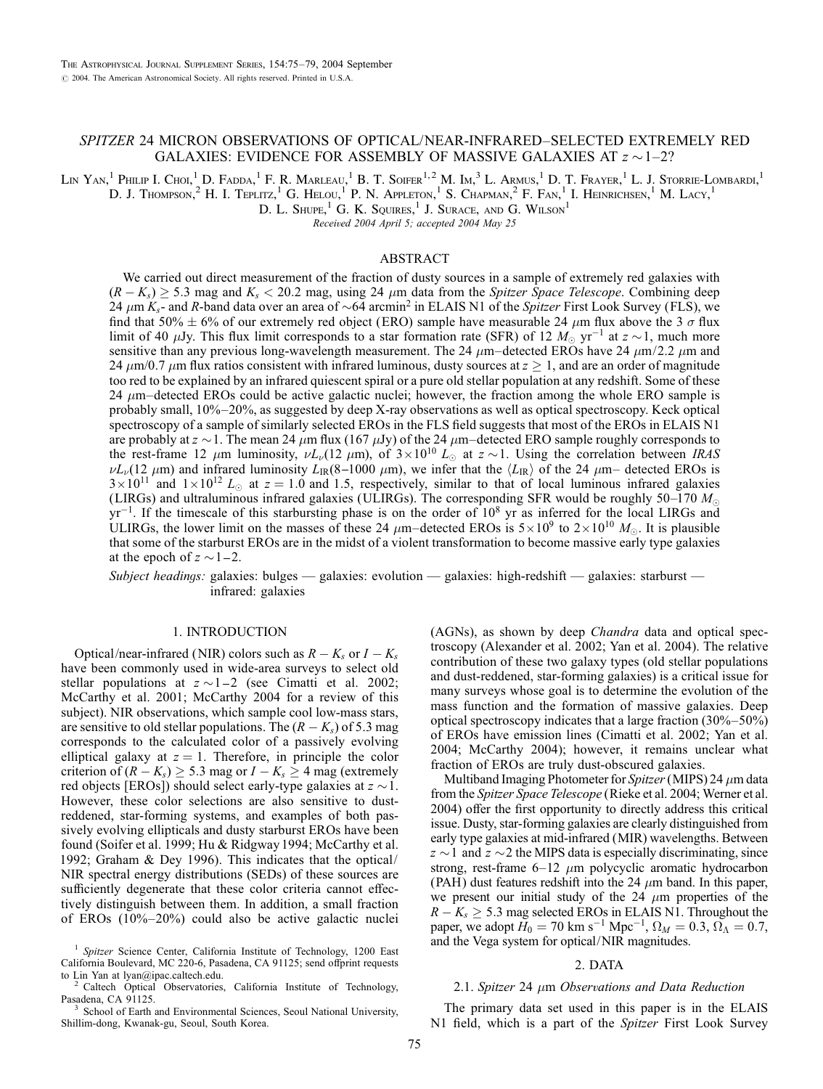# SPITZER 24 MICRON OBSERVATIONS OF OPTICAL/NEAR-INFRARED–SELECTED EXTREMELY RED GALAXIES: EVIDENCE FOR ASSEMBLY OF MASSIVE GALAXIES AT  $z \sim 1-2$ ?

Lin Yan,<sup>1</sup> Philip I. Choi,<sup>1</sup> D. Fadda,<sup>1</sup> F. R. Marleau,<sup>1</sup> B. T. Soifer<sup>1,2</sup> M. Im<sup>3</sup> L. Armus,<sup>1</sup> D. T. Frayer,<sup>1</sup> L. J. Storrie-Lombardi,<sup>1</sup>

D. J. Thompson,<sup>2</sup> H. I. Teplitz,<sup>1</sup> G. Helou,<sup>1</sup> P. N. Appleton,<sup>1</sup> S. Chapman,<sup>2</sup> F. Fan,<sup>1</sup> I. Heinrichsen,<sup>1</sup> M. Lacy,<sup>1</sup>

D. L. Shupe,<sup>1</sup> G. K. Squires,<sup>1</sup> J. Surace, and G. Wilson<sup>1</sup>

Received 2004 April 5; accepted 2004 May 25

#### ABSTRACT

We carried out direct measurement of the fraction of dusty sources in a sample of extremely red galaxies with  $(R - K_s) \ge 5.3$  mag and  $K_s < 20.2$  mag, using 24  $\mu$ m data from the Spitzer Space Telescope. Combining deep 24  $\mu$ m K<sub>s</sub>- and R-band data over an area of  $\sim$  64 arcmin<sup>2</sup> in ELAIS N1 of the Spitzer First Look Survey (FLS), we find that 50%  $\pm$  6% of our extremely red object (ERO) sample have measurable 24  $\mu$ m flux above the 3  $\sigma$  flux limit of 40  $\mu$ Jy. This flux limit corresponds to a star formation rate (SFR) of 12  $M_{\odot}$  yr<sup>-1</sup> at  $z \sim 1$ , much more sensitive than any previous long-wavelength measurement. The 24  $\mu$ m–detected EROs have 24  $\mu$ m/2.2  $\mu$ m and 24  $\mu$ m/0.7  $\mu$ m flux ratios consistent with infrared luminous, dusty sources at  $z \ge 1$ , and are an order of magnitude too red to be explained by an infrared quiescent spiral or a pure old stellar population at any redshift. Some of these 24  $\mu$ m–detected EROs could be active galactic nuclei; however, the fraction among the whole ERO sample is probably small, 10%–20%, as suggested by deep X-ray observations as well as optical spectroscopy. Keck optical spectroscopy of a sample of similarly selected EROs in the FLS field suggests that most of the EROs in ELAIS N1 are probably at  $z \sim 1$ . The mean 24  $\mu$ m flux (167  $\mu$ Jy) of the 24  $\mu$ m–detected ERO sample roughly corresponds to the rest-frame 12  $\mu$ m luminosity,  $\nu L_{\nu}$ (12  $\mu$ m), of  $3 \times 10^{10} L_{\odot}$  at  $z \sim 1$ . Using the correlation between IRAS  $\nu L_{\nu}$ (12  $\mu$ m) and infrared luminosity  $L_{IR}(8-1000 \mu m)$ , we infer that the  $\langle L_{IR} \rangle$  of the 24  $\mu$ m– detected EROs is  $3 \times 10^{11}$  and  $1 \times 10^{12}$  L<sub>o</sub> at  $z = 1.0$  and 1.5, respectively, similar to that of local luminous infrared galaxies (LIRGs) and ultraluminous infrared galaxies (ULIRGs). The corresponding SFR would be roughly 50–170  $M_{\odot}$  $yr^{-1}$ . If the timescale of this starbursting phase is on the order of  $10^8$  yr as inferred for the local LIRGs and ULIRGs, the lower limit on the masses of these 24  $\mu$ m–detected EROs is  $5 \times 10^9$  to  $2 \times 10^{10}$   $M_{\odot}$ . It is plausible that some of the starburst EROs are in the midst of a violent transformation to become massive early type galaxies at the epoch of  $z \sim 1 - 2$ .

Subject headings: galaxies: bulges — galaxies: evolution — galaxies: high-redshift — galaxies: starburst infrared: galaxies

## 1. INTRODUCTION

Optical/near-infrared (NIR) colors such as  $R - K_s$  or  $I - K_s$ have been commonly used in wide-area surveys to select old stellar populations at  $z \sim 1 - 2$  (see Cimatti et al. 2002; McCarthy et al. 2001; McCarthy 2004 for a review of this subject). NIR observations, which sample cool low-mass stars, are sensitive to old stellar populations. The  $(R - K_s)$  of 5.3 mag corresponds to the calculated color of a passively evolving elliptical galaxy at  $z = 1$ . Therefore, in principle the color criterion of  $(R - K_s) \ge 5.3$  mag or  $I - K_s \ge 4$  mag (extremely red objects [EROs]) should select early-type galaxies at  $z \sim 1$ . However, these color selections are also sensitive to dustreddened, star-forming systems, and examples of both passively evolving ellipticals and dusty starburst EROs have been found (Soifer et al. 1999; Hu & Ridgway 1994; McCarthy et al. 1992; Graham & Dey 1996). This indicates that the optical/ NIR spectral energy distributions (SEDs) of these sources are sufficiently degenerate that these color criteria cannot effectively distinguish between them. In addition, a small fraction of EROs (10%–20%) could also be active galactic nuclei

to Lin Yan at lyan@ipac.caltech.edu.<br><sup>2</sup> Caltech Optical Observatories, California Institute of Technology, Pasadena, CA 91125.

School of Earth and Environmental Sciences, Seoul National University, Shillim-dong, Kwanak-gu, Seoul, South Korea.

(AGNs), as shown by deep Chandra data and optical spectroscopy (Alexander et al. 2002; Yan et al. 2004). The relative contribution of these two galaxy types (old stellar populations and dust-reddened, star-forming galaxies) is a critical issue for many surveys whose goal is to determine the evolution of the mass function and the formation of massive galaxies. Deep optical spectroscopy indicates that a large fraction (30%–50%) of EROs have emission lines (Cimatti et al. 2002; Yan et al. 2004; McCarthy 2004); however, it remains unclear what fraction of EROs are truly dust-obscured galaxies.

Multiband Imaging Photometer for Spitzer (MIPS) 24  $\mu$ m data from the Spitzer Space Telescope (Rieke et al. 2004; Werner et al. 2004) offer the first opportunity to directly address this critical issue. Dusty, star-forming galaxies are clearly distinguished from early type galaxies at mid-infrared (MIR) wavelengths. Between  $z \sim 1$  and  $z \sim 2$  the MIPS data is especially discriminating, since strong, rest-frame  $6-12 \mu m$  polycyclic aromatic hydrocarbon (PAH) dust features redshift into the 24  $\mu$ m band. In this paper, we present our initial study of the  $24 \mu m$  properties of the  $R - K_s \geq 5.3$  mag selected EROs in ELAIS N1. Throughout the paper, we adopt  $H_0 = 70 \text{ km s}^{-1} \text{ Mpc}^{-1}$ ,  $\Omega_M = 0.3$ ,  $\Omega_{\Lambda} = 0.7$ , and the Vega system for optical/NIR magnitudes.

### 2. DATA

#### 2.1. Spitzer 24  $\mu$ m Observations and Data Reduction

The primary data set used in this paper is in the ELAIS N1 field, which is a part of the Spitzer First Look Survey

<sup>&</sup>lt;sup>1</sup> Spitzer Science Center, California Institute of Technology, 1200 East California Boulevard, MC 220-6, Pasadena, CA 91125; send offprint requests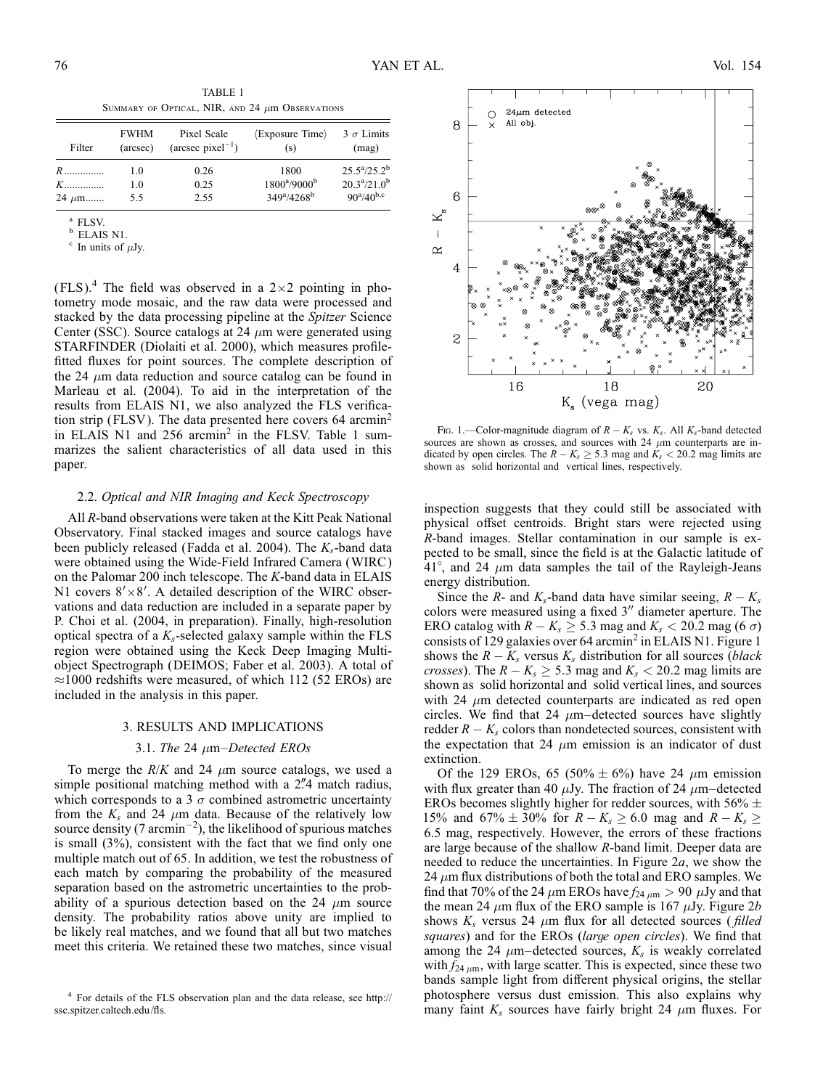TABLE 1 SUMMARY OF OPTICAL, NIR, AND 24  $\mu$ m Observations

| Filter     | <b>FWHM</b><br>(arcsec) | Pixel Scale<br>$(\text{arcsec pixel}^{-1})$ | $\langle$ Exposure Time $\rangle$<br>(S) | $3 \sigma$ Limits<br>(mag)  |
|------------|-------------------------|---------------------------------------------|------------------------------------------|-----------------------------|
| $R$        | 1.0                     | 0.26                                        | 1800                                     | $25.5^a/25.2^b$             |
| $K$        | 1.0                     | 0.25                                        | $1800^{\rm a}/9000^{\rm b}$              | $20.3^{\rm a}/21.0^{\rm b}$ |
| $24 \mu m$ | 55                      | 2.55                                        | $349^{\rm a}/4268^{\rm b}$               | $90^{\rm a}/40^{\rm b,c}$   |

 $(FLS)^{4}$ . The field was observed in a 2×2 pointing in photometry mode mosaic, and the raw data were processed and stacked by the data processing pipeline at the Spitzer Science Center (SSC). Source catalogs at 24  $\mu$ m were generated using STARFINDER (Diolaiti et al. 2000), which measures profilefitted fluxes for point sources. The complete description of the 24  $\mu$ m data reduction and source catalog can be found in Marleau et al. (2004). To aid in the interpretation of the results from ELAIS N1, we also analyzed the FLS verification strip (FLSV). The data presented here covers  $64$  arcmin<sup>2</sup> in ELAIS N1 and 256 arcmin<sup>2</sup> in the FLSV. Table 1 summarizes the salient characteristics of all data used in this paper.

## 2.2. Optical and NIR Imaging and Keck Spectroscopy

All R-band observations were taken at the Kitt Peak National Observatory. Final stacked images and source catalogs have been publicly released (Fadda et al. 2004). The  $K_s$ -band data were obtained using the Wide-Field Infrared Camera (WIRC ) on the Palomar 200 inch telescope. The K-band data in ELAIS N1 covers  $8' \times 8'$ . A detailed description of the WIRC observations and data reduction are included in a separate paper by P. Choi et al. (2004, in preparation). Finally, high-resolution optical spectra of a  $K_s$ -selected galaxy sample within the FLS region were obtained using the Keck Deep Imaging Multiobject Spectrograph (DEIMOS; Faber et al. 2003). A total of  $\approx$ 1000 redshifts were measured, of which 112 (52 EROs) are included in the analysis in this paper.

#### 3. RESULTS AND IMPLICATIONS

#### 3.1. The 24  $\mu$ m–Detected EROs

To merge the  $R/K$  and 24  $\mu$ m source catalogs, we used a simple positional matching method with a 2<sup>n</sup>/4 match radius, which corresponds to a 3  $\sigma$  combined astrometric uncertainty from the  $K_s$  and 24  $\mu$ m data. Because of the relatively low source density (7 arcmin<sup>-2</sup>), the likelihood of spurious matches is small (3%), consistent with the fact that we find only one multiple match out of 65. In addition, we test the robustness of each match by comparing the probability of the measured separation based on the astrometric uncertainties to the probability of a spurious detection based on the 24  $\mu$ m source density. The probability ratios above unity are implied to be likely real matches, and we found that all but two matches meet this criteria. We retained these two matches, since visual



FIG. 1.—Color-magnitude diagram of  $R - K_s$  vs.  $K_s$ . All  $K_s$ -band detected sources are shown as crosses, and sources with 24  $\mu$ m counterparts are indicated by open circles. The  $R - K_s \geq 5.3$  mag and  $K_s < 20.2$  mag limits are shown as solid horizontal and vertical lines, respectively.

inspection suggests that they could still be associated with physical offset centroids. Bright stars were rejected using R-band images. Stellar contamination in our sample is expected to be small, since the field is at the Galactic latitude of  $41^\circ$ , and 24  $\mu$ m data samples the tail of the Rayleigh-Jeans energy distribution.

Since the R- and  $K_s$ -band data have similar seeing,  $R - K_s$ colors were measured using a fixed  $3<sup>0</sup>$  diameter aperture. The ERO catalog with  $R - K_s \geq 5.3$  mag and  $K_s < 20.2$  mag (6  $\sigma$ ) consists of 129 galaxies over 64 arcmin<sup>2</sup> in ELAIS N1. Figure 1 shows the  $R - K_s$  versus  $K_s$  distribution for all sources (*black crosses*). The  $R - K_s \geq 5.3$  mag and  $K_s < 20.2$  mag limits are shown as solid horizontal and solid vertical lines, and sources with 24  $\mu$ m detected counterparts are indicated as red open circles. We find that 24  $\mu$ m–detected sources have slightly redder  $R - K_s$  colors than nondetected sources, consistent with the expectation that 24  $\mu$ m emission is an indicator of dust extinction.

Of the 129 EROs, 65 (50%  $\pm$  6%) have 24  $\mu$ m emission with flux greater than 40  $\mu$ Jy. The fraction of 24  $\mu$ m–detected EROs becomes slightly higher for redder sources, with 56%  $\pm$ 15% and 67%  $\pm$  30% for  $R - K_s \ge 6.0$  mag and  $R - K_s \ge 6.0$ 6:5 mag, respectively. However, the errors of these fractions are large because of the shallow R-band limit. Deeper data are needed to reduce the uncertainties. In Figure  $2a$ , we show the 24  $\mu$ m flux distributions of both the total and ERO samples. We find that 70% of the 24  $\mu$ m EROs have  $f_{24 \mu m} > 90 \mu Jy$  and that the mean 24  $\mu$ m flux of the ERO sample is 167  $\mu$ Jy. Figure 2*b* shows  $K_s$  versus 24  $\mu$ m flux for all detected sources (*filled* squares) and for the EROs (large open circles). We find that among the 24  $\mu$ m–detected sources,  $K_s$  is weakly correlated with  $f_{24 \mu m}$ , with large scatter. This is expected, since these two bands sample light from different physical origins, the stellar photosphere versus dust emission. This also explains why many faint  $K_s$  sources have fairly bright 24  $\mu$ m fluxes. For

<sup>&</sup>lt;sup>a</sup> FLSV.<br><sup>b</sup> ELAIS N1.<br><sup>c</sup> In units of  $\mu$ Jy.

<sup>4</sup> For details of the FLS observation plan and the data release, see http:// ssc.spitzer.caltech.edu/fls.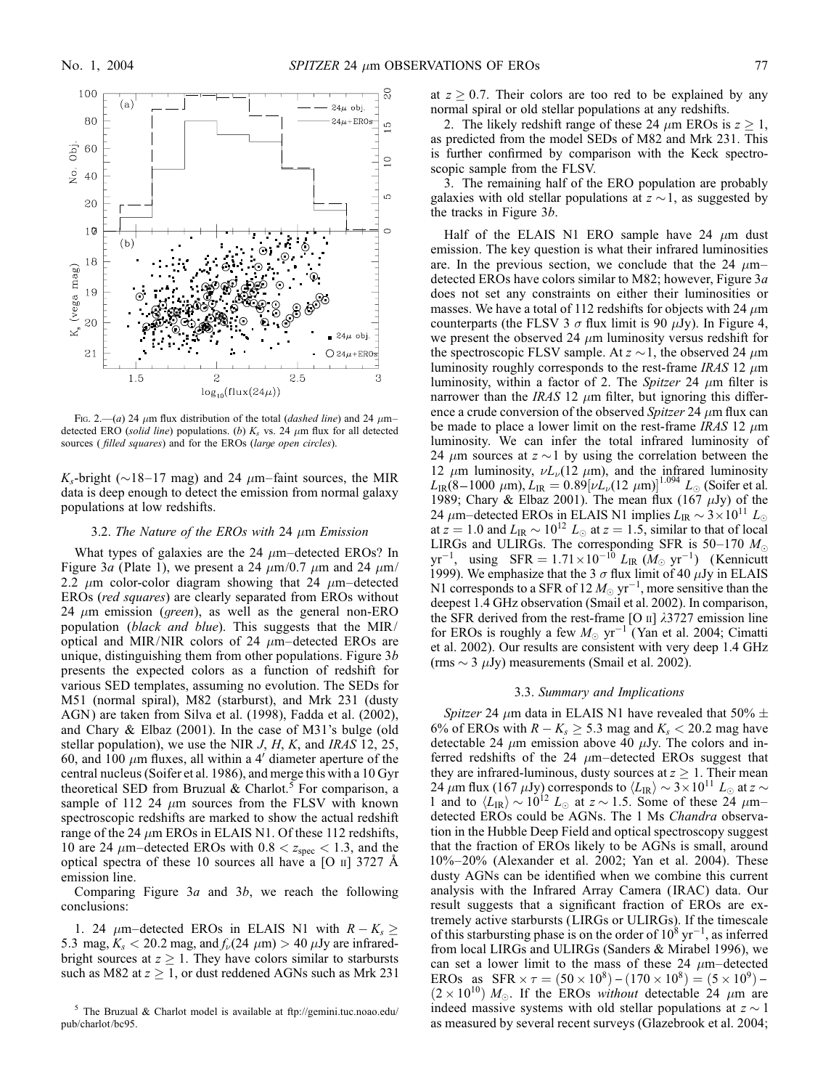

FIG. 2.—(a) 24  $\mu$ m flux distribution of the total (*dashed line*) and 24  $\mu$ m– detected ERO (solid line) populations. (b)  $K_s$  vs. 24  $\mu$ m flux for all detected sources ( filled squares) and for the EROs (large open circles).

 $K_s$ -bright ( $\sim$ 18–17 mag) and 24  $\mu$ m–faint sources, the MIR data is deep enough to detect the emission from normal galaxy populations at low redshifts.

## 3.2. The Nature of the EROs with 24  $\mu$ m Emission

What types of galaxies are the 24  $\mu$ m–detected EROs? In Figure 3a (Plate 1), we present a 24  $\mu$ m/0.7  $\mu$ m and 24  $\mu$ m/ 2.2  $\mu$ m color-color diagram showing that 24  $\mu$ m–detected EROs (red squares) are clearly separated from EROs without 24  $\mu$ m emission (*green*), as well as the general non-ERO population (black and blue). This suggests that the MIR/ optical and MIR/NIR colors of 24  $\mu$ m–detected EROs are unique, distinguishing them from other populations. Figure  $3b$ presents the expected colors as a function of redshift for various SED templates, assuming no evolution. The SEDs for M51 (normal spiral), M82 (starburst), and Mrk 231 (dusty AGN) are taken from Silva et al. (1998), Fadda et al. (2002), and Chary & Elbaz (2001). In the case of M31's bulge (old stellar population), we use the NIR  $J, H, K$ , and IRAS 12, 25, 60, and 100  $\mu$ m fluxes, all within a 4' diameter aperture of the central nucleus (Soifer et al. 1986), and merge this with a 10 Gyr theoretical SED from Bruzual & Charlot.<sup>5</sup> For comparison, a sample of 112 24  $\mu$ m sources from the FLSV with known spectroscopic redshifts are marked to show the actual redshift range of the 24  $\mu$ m EROs in ELAIS N1. Of these 112 redshifts, 10 are 24  $\mu$ m–detected EROs with 0.8 <  $z_{\text{spec}}$  < 1.3, and the optical spectra of these 10 sources all have a  $[O \text{ II}]$  3727 Å emission line.

Comparing Figure  $3a$  and  $3b$ , we reach the following conclusions:

1. 24  $\mu$ m–detected EROs in ELAIS N1 with  $R - K_s \geq$ 5.3 mag,  $K_s < 20.2$  mag, and  $f_{\nu}(24 \mu m) > 40 \mu Jy$  are infraredbright sources at  $z \geq 1$ . They have colors similar to starbursts such as M82 at  $z \geq 1$ , or dust reddened AGNs such as Mrk 231 at  $z > 0.7$ . Their colors are too red to be explained by any normal spiral or old stellar populations at any redshifts.

2. The likely redshift range of these 24  $\mu$ m EROs is  $z \ge 1$ , as predicted from the model SEDs of M82 and Mrk 231. This is further confirmed by comparison with the Keck spectroscopic sample from the FLSV.

3. The remaining half of the ERO population are probably galaxies with old stellar populations at  $z \sim 1$ , as suggested by the tracks in Figure 3b.

Half of the ELAIS N1 ERO sample have 24  $\mu$ m dust emission. The key question is what their infrared luminosities are. In the previous section, we conclude that the 24  $\mu$ m– detected EROs have colors similar to M82; however, Figure 3a does not set any constraints on either their luminosities or masses. We have a total of 112 redshifts for objects with 24  $\mu$ m counterparts (the FLSV 3  $\sigma$  flux limit is 90  $\mu$ Jy). In Figure 4, we present the observed 24  $\mu$ m luminosity versus redshift for the spectroscopic FLSV sample. At  $z \sim 1$ , the observed 24  $\mu$ m luminosity roughly corresponds to the rest-frame IRAS 12  $\mu$ m luminosity, within a factor of 2. The Spitzer 24  $\mu$ m filter is narrower than the IRAS 12  $\mu$ m filter, but ignoring this difference a crude conversion of the observed Spitzer 24  $\mu$ m flux can be made to place a lower limit on the rest-frame IRAS 12  $\mu$ m luminosity. We can infer the total infrared luminosity of 24  $\mu$ m sources at  $z \sim 1$  by using the correlation between the 12  $\mu$ m luminosity,  $\nu L_{\nu}$ (12  $\mu$ m), and the infrared luminosity  $L_{\rm IR} (8\!-\!1000\,\,\mu{\rm m}), L_{\rm IR} = 0.89 [\nu L_\nu (12\,\,\mu{\rm m})]^{1.094}\,\,L_\odot$  (Soifer et al. 1989; Chary & Elbaz 2001). The mean flux (167  $\mu$ Jy) of the 24  $\mu$ m–detected EROs in ELAIS N1 implies  $L_{IR} \sim 3 \times 10^{11} L_{\odot}$ at  $z = 1.0$  and  $L_{IR} \sim 10^{12} L_{\odot}$  at  $z = 1.5$ , similar to that of local LIRGs and ULIRGs. The corresponding SFR is 50–170  $M_{\odot}$  $yr^{-1}$ , using  $SFR = 1.71 \times 10^{-10} L_{IR}$   $(M_{\odot} \text{ yr}^{-1})$  (Kennicutt 1999). We emphasize that the 3  $\sigma$  flux limit of 40  $\mu$ Jy in ELAIS N1 corresponds to a SFR of 12  $M_{\odot}$  yr<sup>-1</sup>, more sensitive than the deepest 1.4 GHz observation (Smail et al. 2002). In comparison, the SFR derived from the rest-frame [O ii] *k*3727 emission line for EROs is roughly a few  $M_{\odot}$  yr<sup>-1</sup> (Yan et al. 2004; Cimatti et al. 2002). Our results are consistent with very deep 1.4 GHz (rms  $\sim$  3  $\mu$ Jy) measurements (Smail et al. 2002).

#### 3.3. Summary and Implications

Spitzer 24  $\mu$ m data in ELAIS N1 have revealed that 50%  $\pm$ 6% of EROs with  $R - K_s \ge 5.3$  mag and  $K_s < 20.2$  mag have detectable 24  $\mu$ m emission above 40  $\mu$ Jy. The colors and inferred redshifts of the 24  $\mu$ m–detected EROs suggest that they are infrared-luminous, dusty sources at  $z \geq 1$ . Their mean 24  $\mu$ m flux (167  $\mu$ Jy) corresponds to  $\langle L_{\rm IR} \rangle \sim 3 \times 10^{11} L_{\odot}$  at  $z \sim$ 1 and to  $\langle L_{IR} \rangle \sim 10^{12} L_{\odot}$  at  $z \sim 1.5$ . Some of these 24  $\mu$ m– detected EROs could be AGNs. The 1 Ms Chandra observation in the Hubble Deep Field and optical spectroscopy suggest that the fraction of EROs likely to be AGNs is small, around 10%–20% (Alexander et al. 2002; Yan et al. 2004). These dusty AGNs can be identified when we combine this current analysis with the Infrared Array Camera ( IRAC) data. Our result suggests that a significant fraction of EROs are extremely active starbursts (LIRGs or ULIRGs). If the timescale of this starbursting phase is on the order of  $10^8 \text{ yr}^{-1}$ , as inferred from local LIRGs and ULIRGs (Sanders & Mirabel 1996), we can set a lower limit to the mass of these 24  $\mu$ m–detected EROs as  $SFR \times \tau = (50 \times 10^8) - (170 \times 10^8) = (5 \times 10^9) (2 \times 10^{10})$  M<sub>o</sub>. If the EROs without detectable 24  $\mu$ m are indeed massive systems with old stellar populations at  $z \sim 1$ as measured by several recent surveys (Glazebrook et al. 2004;

 $5$  The Bruzual & Charlot model is available at ftp://gemini.tuc.noao.edu/ pub/charlot/bc95.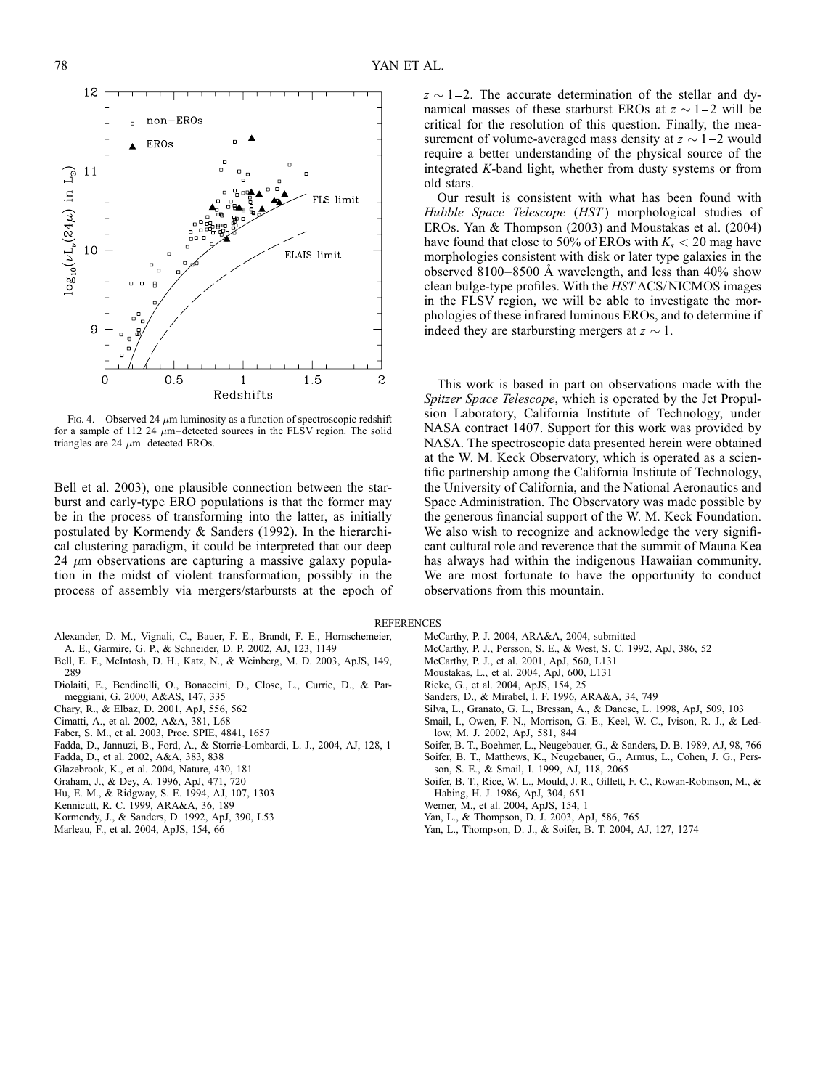Fig. 4.—Observed 24  $\mu$ m luminosity as a function of spectroscopic redshift for a sample of 112 24  $\mu$ m–detected sources in the FLSV region. The solid triangles are  $24 \mu m$ –detected EROs.

Bell et al. 2003), one plausible connection between the starburst and early-type ERO populations is that the former may be in the process of transforming into the latter, as initially postulated by Kormendy & Sanders (1992). In the hierarchical clustering paradigm, it could be interpreted that our deep 24  $\mu$ m observations are capturing a massive galaxy population in the midst of violent transformation, possibly in the process of assembly via mergers/starbursts at the epoch of

- Alexander, D. M., Vignali, C., Bauer, F. E., Brandt, F. E., Hornschemeier, A. E., Garmire, G. P., & Schneider, D. P. 2002, AJ, 123, 1149
- Bell, E. F., McIntosh, D. H., Katz, N., & Weinberg, M. D. 2003, ApJS, 149,
- 289
- Diolaiti, E., Bendinelli, O., Bonaccini, D., Close, L., Currie, D., & Parmeggiani, G. 2000, A&AS, 147, 335
- Chary, R., & Elbaz, D. 2001, ApJ, 556, 562
- Cimatti, A., et al. 2002, A&A, 381, L68
- Faber, S. M., et al. 2003, Proc. SPIE, 4841, 1657
- Fadda, D., Jannuzi, B., Ford, A., & Storrie-Lombardi, L. J., 2004, AJ, 128, 1
- Fadda, D., et al. 2002, A&A, 383, 838
- Glazebrook, K., et al. 2004, Nature, 430, 181
- 
- Graham, J., & Dey, A. 1996, ApJ, 471, 720
- Hu, E. M., & Ridgway, S. E. 1994, AJ, 107, 1303
- Kennicutt, R. C. 1999, ARA&A, 36, 189
- Kormendy, J., & Sanders, D. 1992, ApJ, 390, L53
- Marleau, F., et al. 2004, ApJS, 154, 66

 $z \sim 1 - 2$ . The accurate determination of the stellar and dynamical masses of these starburst EROs at  $z \sim 1-2$  will be critical for the resolution of this question. Finally, the measurement of volume-averaged mass density at  $z \sim 1-2$  would require a better understanding of the physical source of the integrated K-band light, whether from dusty systems or from old stars.

Our result is consistent with what has been found with Hubble Space Telescope (HST) morphological studies of EROs. Yan & Thompson (2003) and Moustakas et al. (2004) have found that close to 50% of EROs with  $K_s < 20$  mag have morphologies consistent with disk or later type galaxies in the observed 8100–8500 Å wavelength, and less than  $40\%$  show clean bulge-type profiles. With the HST ACS/NICMOS images in the FLSV region, we will be able to investigate the morphologies of these infrared luminous EROs, and to determine if indeed they are starbursting mergers at  $z \sim 1$ .

This work is based in part on observations made with the Spitzer Space Telescope, which is operated by the Jet Propulsion Laboratory, California Institute of Technology, under NASA contract 1407. Support for this work was provided by NASA. The spectroscopic data presented herein were obtained at the W. M. Keck Observatory, which is operated as a scientific partnership among the California Institute of Technology, the University of California, and the National Aeronautics and Space Administration. The Observatory was made possible by the generous financial support of the W. M. Keck Foundation. We also wish to recognize and acknowledge the very significant cultural role and reverence that the summit of Mauna Kea has always had within the indigenous Hawaiian community. We are most fortunate to have the opportunity to conduct observations from this mountain.

### REFERENCES

- McCarthy, P. J. 2004, ARA&A, 2004, submitted
- McCarthy, P. J., Persson, S. E., & West, S. C. 1992, ApJ, 386, 52
- McCarthy, P. J., et al. 2001, ApJ, 560, L131
- Moustakas, L., et al. 2004, ApJ, 600, L131
- Rieke, G., et al. 2004, ApJS, 154, 25
- Sanders, D., & Mirabel, I. F. 1996, ARA&A, 34, 749
- Silva, L., Granato, G. L., Bressan, A., & Danese, L. 1998, ApJ, 509, 103
- Smail, I., Owen, F. N., Morrison, G. E., Keel, W. C., Ivison, R. J., & Ledlow, M. J. 2002, ApJ, 581, 844
- Soifer, B. T., Boehmer, L., Neugebauer, G., & Sanders, D. B. 1989, AJ, 98, 766 Soifer, B. T., Matthews, K., Neugebauer, G., Armus, L., Cohen, J. G., Pers-
- son, S. E., & Smail, I. 1999, AJ, 118, 2065
- Soifer, B. T., Rice, W. L., Mould, J. R., Gillett, F. C., Rowan-Robinson, M., & Habing, H. J. 1986, ApJ, 304, 651
- Werner, M., et al. 2004, ApJS, 154, 1
- Yan, L., & Thompson, D. J. 2003, ApJ, 586, 765
- Yan, L., Thompson, D. J., & Soifer, B. T. 2004, AJ, 127, 1274